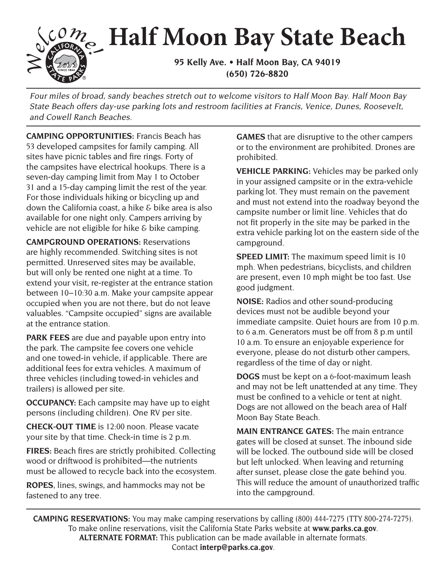## **95 Kelly Ave. • Half Moon Bay, CA 94019 Half Moon Bay State Beach**

**(650) 726-8820** 

Four miles of broad, sandy beaches stretch out to welcome visitors to Half Moon Bay. Half Moon Bay State Beach offers day-use parking lots and restroom facilities at Francis, Venice, Dunes, Roosevelt, and Cowell Ranch Beaches.

**CAMPING OPPORTUNITIES:** Francis Beach has 53 developed campsites for family camping. All sites have picnic tables and fire rings. Forty of the campsites have electrical hookups. There is a seven-day camping limit from May 1 to October 31 and a 15-day camping limit the rest of the year. For those individuals hiking or bicycling up and down the California coast, a hike & bike area is also available for one night only. Campers arriving by vehicle are not eligible for hike & bike camping.

 between 10–10:30 a.m. Make your campsite appear **CAMPGROUND OPERATIONS:** Reservations are highly recommended. Switching sites is not permitted. Unreserved sites may be available, but will only be rented one night at a time. To extend your visit, re-register at the entrance station occupied when you are not there, but do not leave valuables. "Campsite occupied" signs are available at the entrance station.

**PARK FEES** are due and payable upon entry into the park. The campsite fee covers one vehicle and one towed-in vehicle, if applicable. There are additional fees for extra vehicles. A maximum of three vehicles (including towed-in vehicles and trailers) is allowed per site.

**OCCUPANCY:** Each campsite may have up to eight persons (including children). One RV per site.

**CHECK-OUT TIME** is 12:00 noon. Please vacate your site by that time. Check-in time is 2 p.m.

**FIRES:** Beach fres are strictly prohibited. Collecting wood or driftwood is prohibited—the nutrients must be allowed to recycle back into the ecosystem.

**ROPES**, lines, swings, and hammocks may not be fastened to any tree.

**GAMES** that are disruptive to the other campers or to the environment are prohibited. Drones are prohibited.

**VEHICLE PARKING:** Vehicles may be parked only in your assigned campsite or in the extra-vehicle parking lot. They must remain on the pavement and must not extend into the roadway beyond the campsite number or limit line. Vehicles that do not fit properly in the site may be parked in the extra vehicle parking lot on the eastern side of the campground.

**SPEED LIMIT:** The maximum speed limit is 10 mph. When pedestrians, bicyclists, and children are present, even 10 mph might be too fast. Use good judgment.

**NOISE:** Radios and other sound-producing devices must not be audible beyond your immediate campsite. Quiet hours are from 10 p.m. to 6 a.m. Generators must be off from 8 p.m until 10 a.m. To ensure an enjoyable experience for everyone, please do not disturb other campers, regardless of the time of day or night.

**DOGS** must be kept on a 6-foot-maximum leash and may not be left unattended at any time. They must be confned to a vehicle or tent at night. Dogs are not allowed on the beach area of Half Moon Bay State Beach.

**MAIN ENTRANCE GATES:** The main entrance gates will be closed at sunset. The inbound side will be locked. The outbound side will be closed but left unlocked. When leaving and returning after sunset, please close the gate behind you. This will reduce the amount of unauthorized traffic into the campground.

**CAMPING RESERVATIONS:** You may make camping reservations by calling (800) 444-7275 (TTY 800-274-7275). To make online reservations, visit the California State Parks website at **<www.parks.ca.gov>**. **ALTERNATE FORMAT:** This publication can be made available in alternate formats. Contact **[interp@parks.ca.gov](mailto:interp@parks.ca.gov)**.